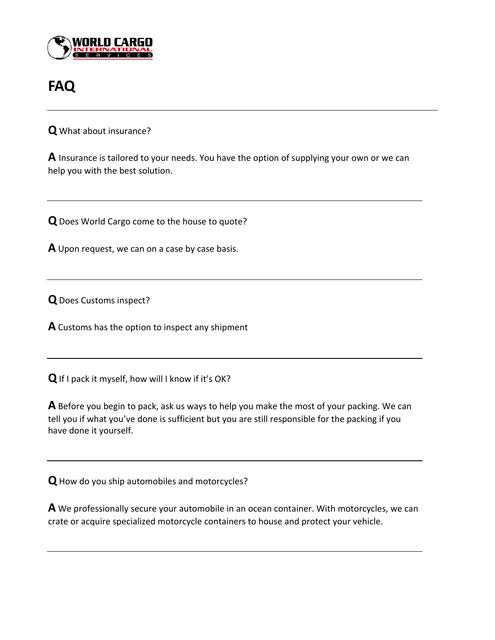

## **FAQ**

**Q** What about insurance?

**A** Insurance is tailored to your needs. You have the option of supplying your own or we can help you with the best solution.

**Q**Does World Cargo come to the house to quote?

**A** Upon request, we can on a case by case basis.

**Q**Does Customs inspect?

**A** Customs has the option to inspect any shipment

**Q**If I pack it myself, how will I know if it's OK?

**A** Before you begin to pack, ask us ways to help you make the most of your packing. We can tell you if what you've done is sufficient but you are still responsible for the packing if you have done it yourself.

**Q**How do you ship automobiles and motorcycles?

**A** We professionally secure your automobile in an ocean container. With motorcycles, we can crate or acquire specialized motorcycle containers to house and protect your vehicle.